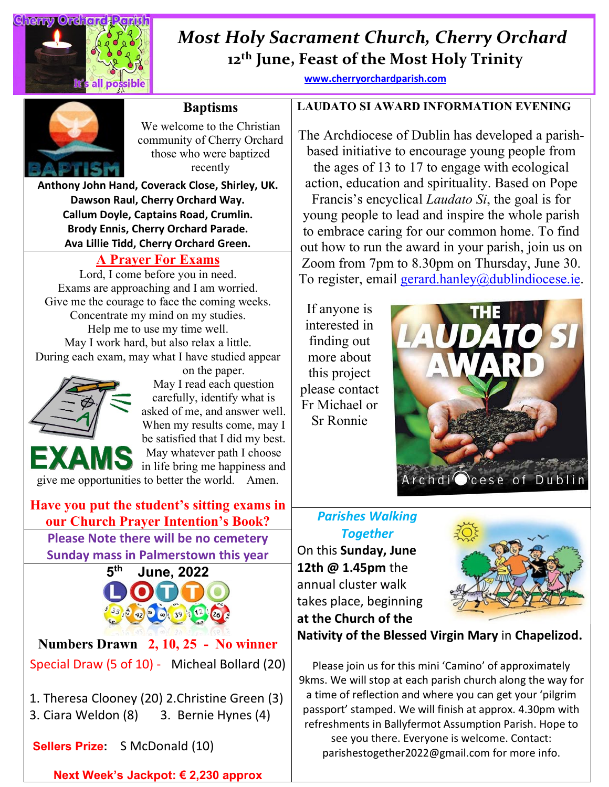

## **12th June, Feast of the Most Holy Trinity**  *Most Holy Sacrament Church, Cherry Orchard*

**[www.cherryorchardparish.com](http://www.cherryorchardparish.com/)**



#### **Baptisms**

We welcome to the Christian community of Cherry Orchard those who were baptized recently

**Anthony John Hand, Coverack Close, Shirley, UK. Dawson Raul, Cherry Orchard Way. Callum Doyle, Captains Road, Crumlin. Brody Ennis, Cherry Orchard Parade. Ava Lillie Tidd, Cherry Orchard Green.**

#### **A Prayer For Exams**

Lord, I come before you in need. Exams are approaching and I am worried. Give me the courage to face the coming weeks. Concentrate my mind on my studies. Help me to use my time well. May I work hard, but also relax a little. During each exam, may what I have studied appear



on the paper. May I read each question carefully, identify what is asked of me, and answer well. When my results come, may I be satisfied that I did my best. May whatever path I choose in life bring me happiness and

give me opportunities to better the world. Amen.

#### **Have you put the student's sitting exams in our Church Prayer Intention's Book?** *Parishes Walking*  **Please Note there will be no cemetery Sunday mass in Palmerstown this year**



**Numbers Drawn 2, 10, 25 - No winner** Special Draw (5 of 10) - Micheal Bollard (20)

1. Theresa Clooney (20) 2.Christine Green (3) 3. Ciara Weldon (8) 3. Bernie Hynes (4)

**Sellers Prize:** S McDonald (10)

**Next Week's Jackpot: € 2,230 approx**

**LAUDATO SI AWARD INFORMATION EVENING**

The Archdiocese of Dublin has developed a parishbased initiative to encourage young people from the ages of 13 to 17 to engage with ecological action, education and spirituality. Based on Pope Francis's encyclical *Laudato Si*, the goal is for young people to lead and inspire the whole parish to embrace caring for our common home. To find out how to run the award in your parish, join us on Zoom from 7pm to 8.30pm on Thursday, June 30. To register, email [gerard.hanley@dublindiocese.ie.](mailto:gerard.hanley@dublindiocese.ie)

If anyone is interested in finding out more about this project please contact Fr Michael or Sr Ronnie



# *Together*

On this **Sunday, June 12th @ 1.45pm** the annual cluster walk takes place, beginning **at the Church of the** 



**Nativity of the Blessed Virgin Mary** in **Chapelizod.** 

Please join us for this mini 'Camino' of approximately 9kms. We will stop at each parish church along the way for a time of reflection and where you can get your 'pilgrim passport' stamped. We will finish at approx. 4.30pm with refreshments in Ballyfermot Assumption Parish. Hope to see you there. Everyone is welcome. Contact: parishestogether2022@gmail.com for more info.